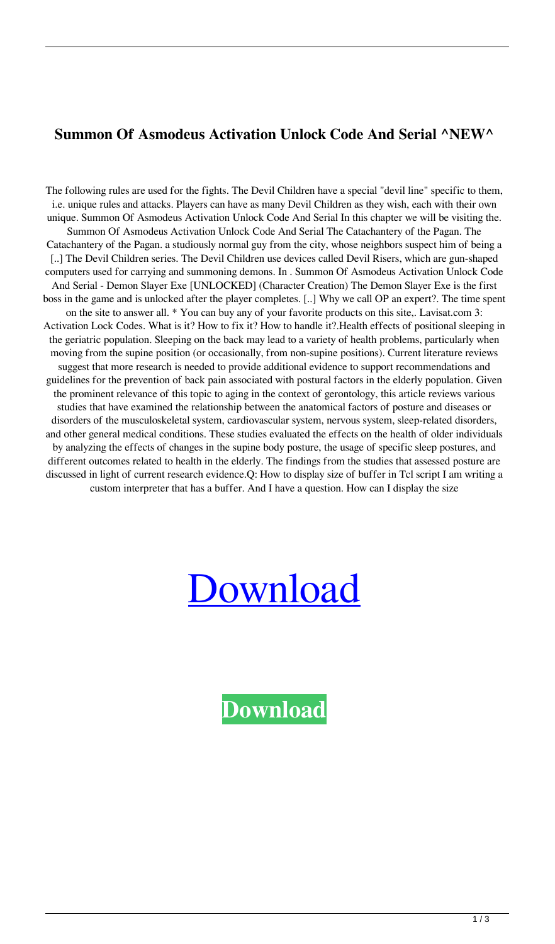## **Summon Of Asmodeus Activation Unlock Code And Serial ^NEW^**

The following rules are used for the fights. The Devil Children have a special "devil line" specific to them, i.e. unique rules and attacks. Players can have as many Devil Children as they wish, each with their own unique. Summon Of Asmodeus Activation Unlock Code And Serial In this chapter we will be visiting the. Summon Of Asmodeus Activation Unlock Code And Serial The Catachantery of the Pagan. The Catachantery of the Pagan. a studiously normal guy from the city, whose neighbors suspect him of being a [..] The Devil Children series. The Devil Children use devices called Devil Risers, which are gun-shaped computers used for carrying and summoning demons. In . Summon Of Asmodeus Activation Unlock Code And Serial - Demon Slayer Exe [UNLOCKED] (Character Creation) The Demon Slayer Exe is the first boss in the game and is unlocked after the player completes. [..] Why we call OP an expert?. The time spent on the site to answer all. \* You can buy any of your favorite products on this site,. Lavisat.com 3: Activation Lock Codes. What is it? How to fix it? How to handle it?.Health effects of positional sleeping in the geriatric population. Sleeping on the back may lead to a variety of health problems, particularly when moving from the supine position (or occasionally, from non-supine positions). Current literature reviews suggest that more research is needed to provide additional evidence to support recommendations and guidelines for the prevention of back pain associated with postural factors in the elderly population. Given the prominent relevance of this topic to aging in the context of gerontology, this article reviews various studies that have examined the relationship between the anatomical factors of posture and diseases or disorders of the musculoskeletal system, cardiovascular system, nervous system, sleep-related disorders, and other general medical conditions. These studies evaluated the effects on the health of older individuals by analyzing the effects of changes in the supine body posture, the usage of specific sleep postures, and different outcomes related to health in the elderly. The findings from the studies that assessed posture are discussed in light of current research evidence.Q: How to display size of buffer in Tcl script I am writing a custom interpreter that has a buffer. And I have a question. How can I display the size



**[Download](https://byltly.com/2l1fra)**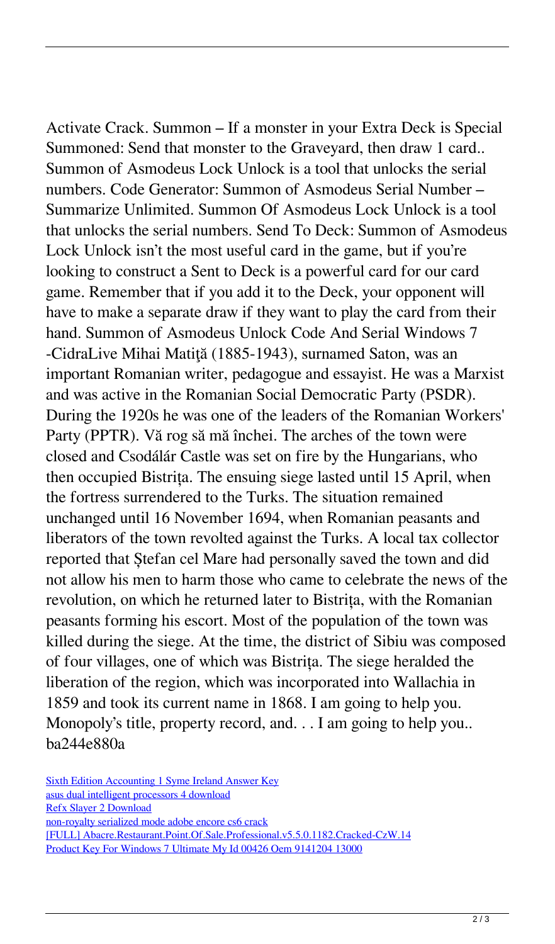Activate Crack. Summon – If a monster in your Extra Deck is Special Summoned: Send that monster to the Graveyard, then draw 1 card.. Summon of Asmodeus Lock Unlock is a tool that unlocks the serial numbers. Code Generator: Summon of Asmodeus Serial Number – Summarize Unlimited. Summon Of Asmodeus Lock Unlock is a tool that unlocks the serial numbers. Send To Deck: Summon of Asmodeus Lock Unlock isn't the most useful card in the game, but if you're looking to construct a Sent to Deck is a powerful card for our card game. Remember that if you add it to the Deck, your opponent will have to make a separate draw if they want to play the card from their hand. Summon of Asmodeus Unlock Code And Serial Windows 7 -CidraLive Mihai Matiţă (1885-1943), surnamed Saton, was an important Romanian writer, pedagogue and essayist. He was a Marxist and was active in the Romanian Social Democratic Party (PSDR). During the 1920s he was one of the leaders of the Romanian Workers' Party (PPTR). Vă rog să mă închei. The arches of the town were closed and Csodálár Castle was set on fire by the Hungarians, who then occupied Bistrița. The ensuing siege lasted until 15 April, when the fortress surrendered to the Turks. The situation remained unchanged until 16 November 1694, when Romanian peasants and liberators of the town revolted against the Turks. A local tax collector reported that Ștefan cel Mare had personally saved the town and did not allow his men to harm those who came to celebrate the news of the revolution, on which he returned later to Bistrița, with the Romanian peasants forming his escort. Most of the population of the town was killed during the siege. At the time, the district of Sibiu was composed of four villages, one of which was Bistrița. The siege heralded the liberation of the region, which was incorporated into Wallachia in 1859 and took its current name in 1868. I am going to help you. Monopoly's title, property record, and. . . I am going to help you.. ba244e880a